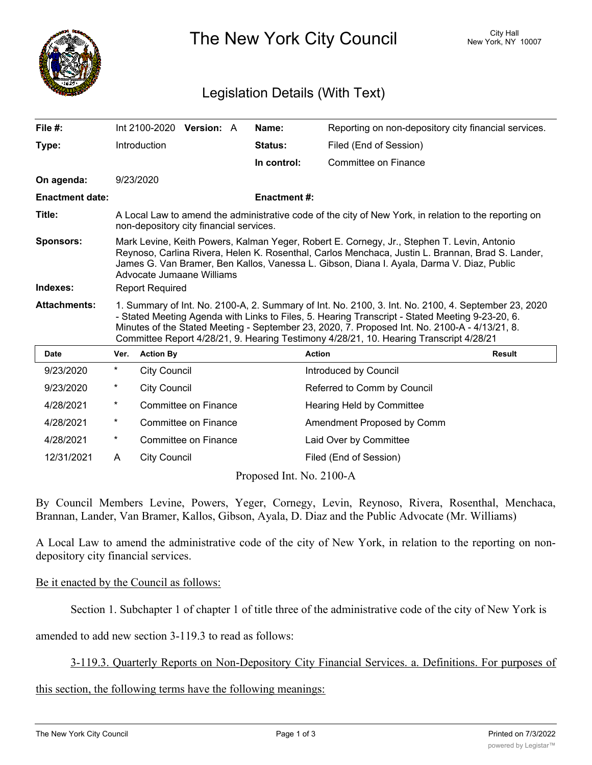

The New York City Council New York, NY 10007

## Legislation Details (With Text)

| File $#$ :             |                                                                                                                                                                                                                                                                                                                                                                                                   |                     | Int 2100-2020 Version: A |  | Name:              | Reporting on non-depository city financial services. |               |
|------------------------|---------------------------------------------------------------------------------------------------------------------------------------------------------------------------------------------------------------------------------------------------------------------------------------------------------------------------------------------------------------------------------------------------|---------------------|--------------------------|--|--------------------|------------------------------------------------------|---------------|
| Type:                  |                                                                                                                                                                                                                                                                                                                                                                                                   | Introduction        |                          |  | Status:            | Filed (End of Session)                               |               |
|                        |                                                                                                                                                                                                                                                                                                                                                                                                   |                     |                          |  | In control:        | Committee on Finance                                 |               |
| On agenda:             |                                                                                                                                                                                                                                                                                                                                                                                                   | 9/23/2020           |                          |  |                    |                                                      |               |
| <b>Enactment date:</b> |                                                                                                                                                                                                                                                                                                                                                                                                   |                     |                          |  | <b>Enactment#:</b> |                                                      |               |
| Title:                 | A Local Law to amend the administrative code of the city of New York, in relation to the reporting on<br>non-depository city financial services.                                                                                                                                                                                                                                                  |                     |                          |  |                    |                                                      |               |
| <b>Sponsors:</b>       | Mark Levine, Keith Powers, Kalman Yeger, Robert E. Cornegy, Jr., Stephen T. Levin, Antonio<br>Reynoso, Carlina Rivera, Helen K. Rosenthal, Carlos Menchaca, Justin L. Brannan, Brad S. Lander,<br>James G. Van Bramer, Ben Kallos, Vanessa L. Gibson, Diana I. Ayala, Darma V. Diaz, Public<br>Advocate Jumaane Williams                                                                          |                     |                          |  |                    |                                                      |               |
| Indexes:               | <b>Report Required</b>                                                                                                                                                                                                                                                                                                                                                                            |                     |                          |  |                    |                                                      |               |
| <b>Attachments:</b>    | 1. Summary of Int. No. 2100-A, 2. Summary of Int. No. 2100, 3. Int. No. 2100, 4. September 23, 2020<br>- Stated Meeting Agenda with Links to Files, 5. Hearing Transcript - Stated Meeting 9-23-20, 6.<br>Minutes of the Stated Meeting - September 23, 2020, 7. Proposed Int. No. 2100-A - 4/13/21, 8.<br>Committee Report 4/28/21, 9. Hearing Testimony 4/28/21, 10. Hearing Transcript 4/28/21 |                     |                          |  |                    |                                                      |               |
| <b>Date</b>            | Ver.                                                                                                                                                                                                                                                                                                                                                                                              | <b>Action By</b>    |                          |  |                    | <b>Action</b>                                        | <b>Result</b> |
| 9/23/2020              | $^\star$                                                                                                                                                                                                                                                                                                                                                                                          | <b>City Council</b> |                          |  |                    | Introduced by Council                                |               |
| 9/23/2020              | $^\star$                                                                                                                                                                                                                                                                                                                                                                                          | <b>City Council</b> |                          |  |                    | Referred to Comm by Council                          |               |
| 4/28/2021              | $\ast$                                                                                                                                                                                                                                                                                                                                                                                            |                     | Committee on Finance     |  |                    | Hearing Held by Committee                            |               |
| 4/28/2021              | $^\star$                                                                                                                                                                                                                                                                                                                                                                                          |                     | Committee on Finance     |  |                    | Amendment Proposed by Comm                           |               |
| 4/28/2021              | $^\star$                                                                                                                                                                                                                                                                                                                                                                                          |                     | Committee on Finance     |  |                    | Laid Over by Committee                               |               |
| 12/31/2021             | A                                                                                                                                                                                                                                                                                                                                                                                                 | <b>City Council</b> |                          |  |                    | Filed (End of Session)                               |               |

Proposed Int. No. 2100-A

By Council Members Levine, Powers, Yeger, Cornegy, Levin, Reynoso, Rivera, Rosenthal, Menchaca, Brannan, Lander, Van Bramer, Kallos, Gibson, Ayala, D. Diaz and the Public Advocate (Mr. Williams)

A Local Law to amend the administrative code of the city of New York, in relation to the reporting on nondepository city financial services.

## Be it enacted by the Council as follows:

Section 1. Subchapter 1 of chapter 1 of title three of the administrative code of the city of New York is

amended to add new section 3-119.3 to read as follows:

3-119.3. Quarterly Reports on Non-Depository City Financial Services. a. Definitions. For purposes of

this section, the following terms have the following meanings: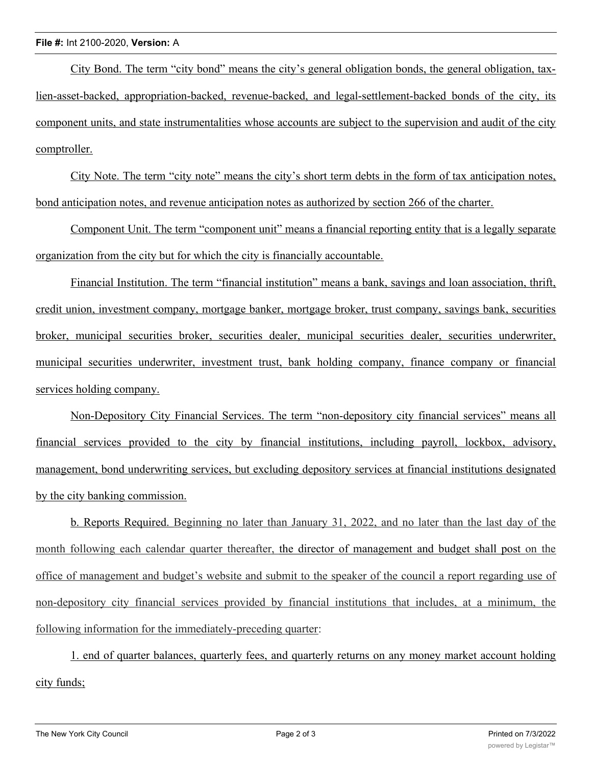## **File #:** Int 2100-2020, **Version:** A

City Bond. The term "city bond" means the city's general obligation bonds, the general obligation, taxlien-asset-backed, appropriation-backed, revenue-backed, and legal-settlement-backed bonds of the city, its component units, and state instrumentalities whose accounts are subject to the supervision and audit of the city comptroller.

City Note. The term "city note" means the city's short term debts in the form of tax anticipation notes, bond anticipation notes, and revenue anticipation notes as authorized by section 266 of the charter.

Component Unit. The term "component unit" means a financial reporting entity that is a legally separate organization from the city but for which the city is financially accountable.

Financial Institution. The term "financial institution" means a bank, savings and loan association, thrift, credit union, investment company, mortgage banker, mortgage broker, trust company, savings bank, securities broker, municipal securities broker, securities dealer, municipal securities dealer, securities underwriter, municipal securities underwriter, investment trust, bank holding company, finance company or financial services holding company.

Non-Depository City Financial Services. The term "non-depository city financial services" means all financial services provided to the city by financial institutions, including payroll, lockbox, advisory, management, bond underwriting services, but excluding depository services at financial institutions designated by the city banking commission.

b. Reports Required. Beginning no later than January 31, 2022, and no later than the last day of the month following each calendar quarter thereafter, the director of management and budget shall post on the office of management and budget's website and submit to the speaker of the council a report regarding use of non-depository city financial services provided by financial institutions that includes, at a minimum, the following information for the immediately-preceding quarter:

1. end of quarter balances, quarterly fees, and quarterly returns on any money market account holding city funds;